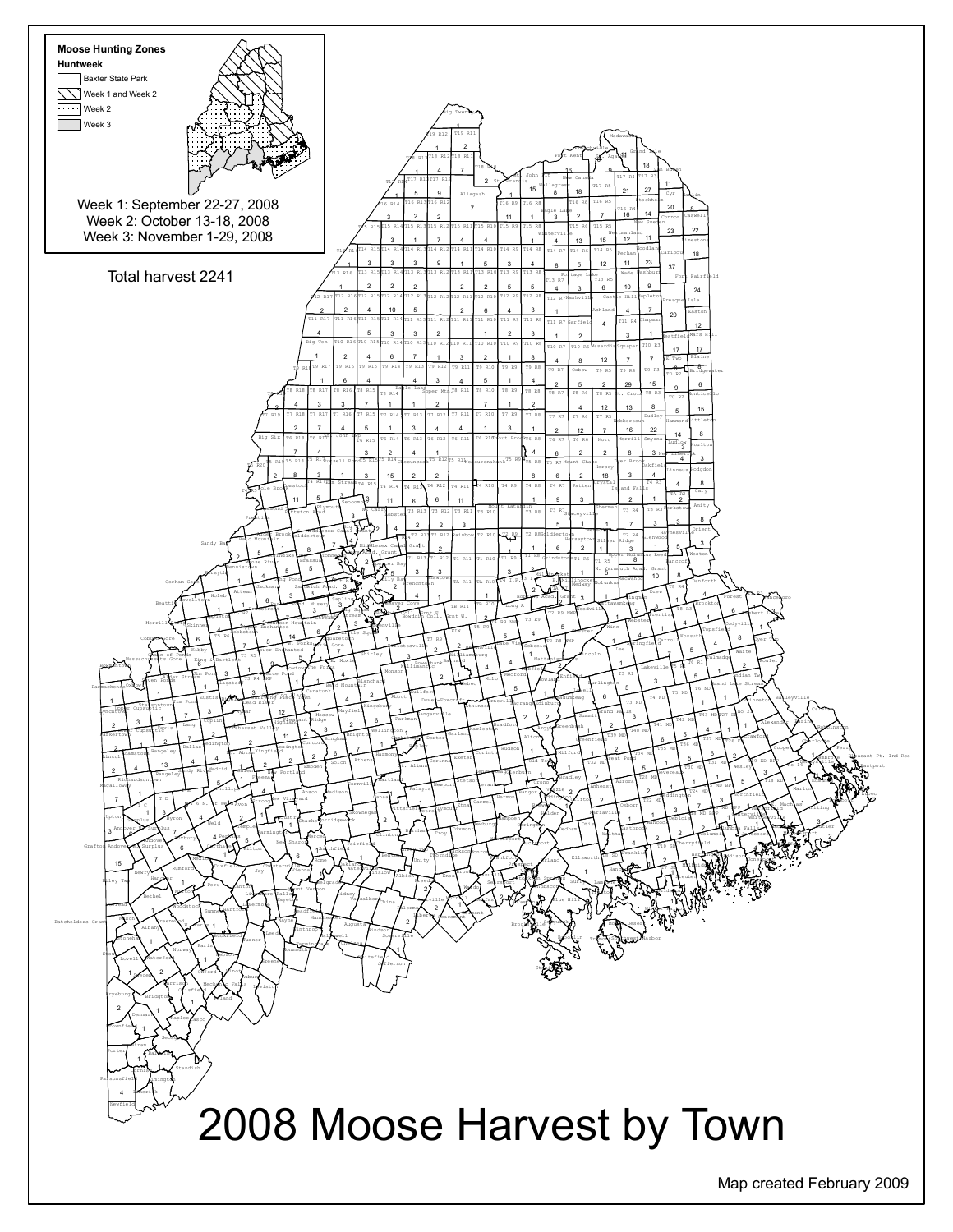